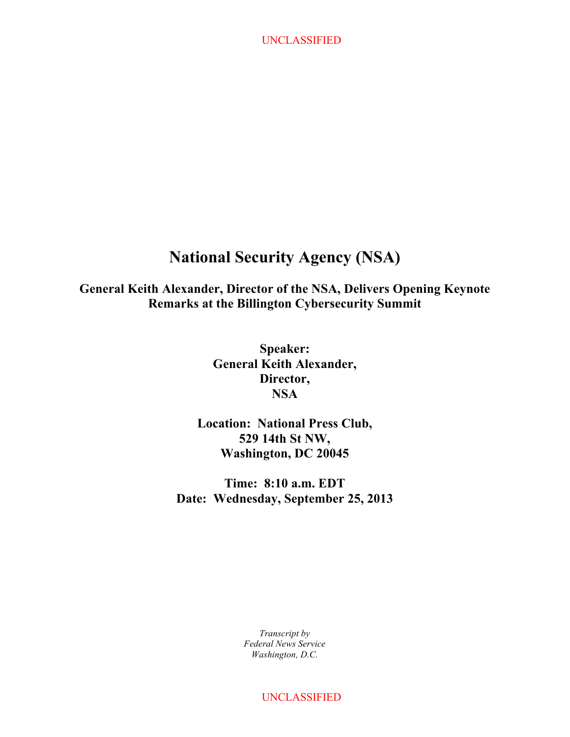# **National Security Agency (NSA)**

**General Keith Alexander, Director of the NSA, Delivers Opening Keynote Remarks at the Billington Cybersecurity Summit**

> **Speaker: General Keith Alexander, Director, NSA**

**Location: National Press Club, 529 14th St NW, Washington, DC 20045**

**Time: 8:10 a.m. EDT Date: Wednesday, September 25, 2013**

> *Transcript by Federal News Service Washington, D.C.*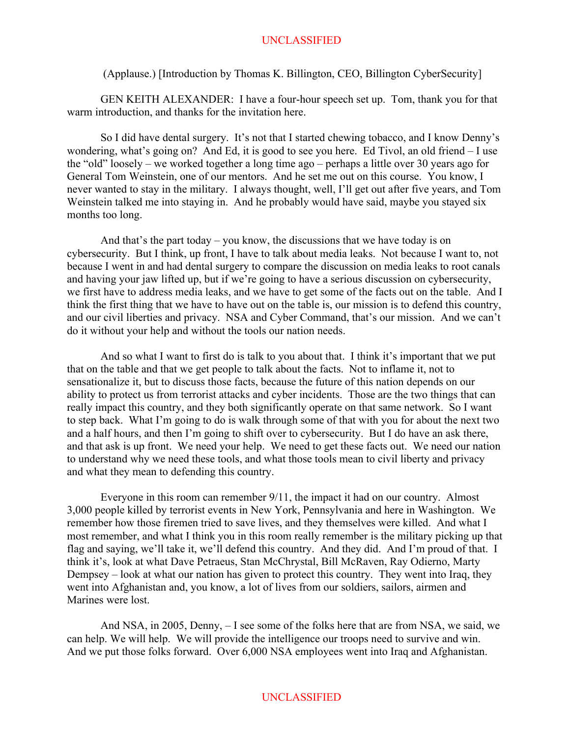#### (Applause.) [Introduction by Thomas K. Billington, CEO, Billington CyberSecurity]

GEN KEITH ALEXANDER: I have a four-hour speech set up. Tom, thank you for that warm introduction, and thanks for the invitation here.

So I did have dental surgery. It's not that I started chewing tobacco, and I know Denny's wondering, what's going on? And Ed, it is good to see you here. Ed Tivol, an old friend – I use the "old" loosely – we worked together a long time ago – perhaps a little over 30 years ago for General Tom Weinstein, one of our mentors. And he set me out on this course. You know, I never wanted to stay in the military. I always thought, well, I'll get out after five years, and Tom Weinstein talked me into staying in. And he probably would have said, maybe you stayed six months too long.

And that's the part today – you know, the discussions that we have today is on cybersecurity. But I think, up front, I have to talk about media leaks. Not because I want to, not because I went in and had dental surgery to compare the discussion on media leaks to root canals and having your jaw lifted up, but if we're going to have a serious discussion on cybersecurity, we first have to address media leaks, and we have to get some of the facts out on the table. And I think the first thing that we have to have out on the table is, our mission is to defend this country, and our civil liberties and privacy. NSA and Cyber Command, that's our mission. And we can't do it without your help and without the tools our nation needs.

And so what I want to first do is talk to you about that. I think it's important that we put that on the table and that we get people to talk about the facts. Not to inflame it, not to sensationalize it, but to discuss those facts, because the future of this nation depends on our ability to protect us from terrorist attacks and cyber incidents. Those are the two things that can really impact this country, and they both significantly operate on that same network. So I want to step back. What I'm going to do is walk through some of that with you for about the next two and a half hours, and then I'm going to shift over to cybersecurity. But I do have an ask there, and that ask is up front. We need your help. We need to get these facts out. We need our nation to understand why we need these tools, and what those tools mean to civil liberty and privacy and what they mean to defending this country.

Everyone in this room can remember 9/11, the impact it had on our country. Almost 3,000 people killed by terrorist events in New York, Pennsylvania and here in Washington. We remember how those firemen tried to save lives, and they themselves were killed. And what I most remember, and what I think you in this room really remember is the military picking up that flag and saying, we'll take it, we'll defend this country. And they did. And I'm proud of that. I think it's, look at what Dave Petraeus, Stan McChrystal, Bill McRaven, Ray Odierno, Marty Dempsey – look at what our nation has given to protect this country. They went into Iraq, they went into Afghanistan and, you know, a lot of lives from our soldiers, sailors, airmen and Marines were lost.

And NSA, in 2005, Denny, – I see some of the folks here that are from NSA, we said, we can help. We will help. We will provide the intelligence our troops need to survive and win. And we put those folks forward. Over 6,000 NSA employees went into Iraq and Afghanistan.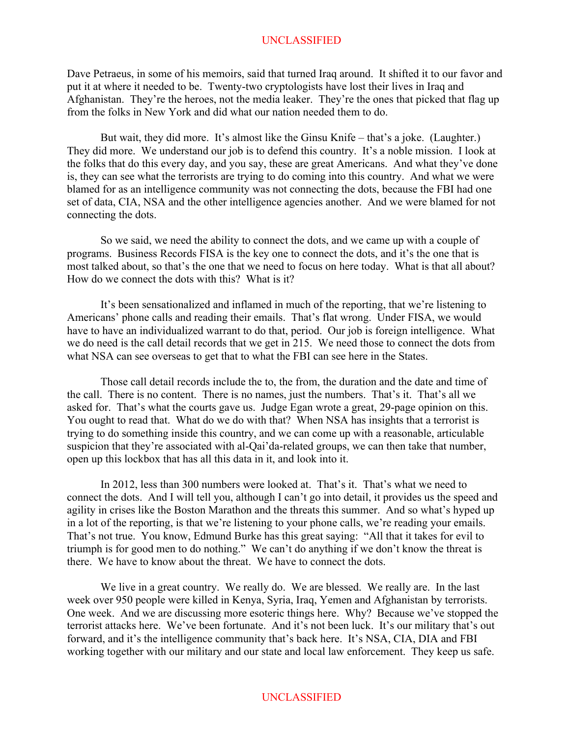Dave Petraeus, in some of his memoirs, said that turned Iraq around. It shifted it to our favor and put it at where it needed to be. Twenty-two cryptologists have lost their lives in Iraq and Afghanistan. They're the heroes, not the media leaker. They're the ones that picked that flag up from the folks in New York and did what our nation needed them to do.

But wait, they did more. It's almost like the Ginsu Knife – that's a joke. (Laughter.) They did more. We understand our job is to defend this country. It's a noble mission. I look at the folks that do this every day, and you say, these are great Americans. And what they've done is, they can see what the terrorists are trying to do coming into this country. And what we were blamed for as an intelligence community was not connecting the dots, because the FBI had one set of data, CIA, NSA and the other intelligence agencies another. And we were blamed for not connecting the dots.

So we said, we need the ability to connect the dots, and we came up with a couple of programs. Business Records FISA is the key one to connect the dots, and it's the one that is most talked about, so that's the one that we need to focus on here today. What is that all about? How do we connect the dots with this? What is it?

It's been sensationalized and inflamed in much of the reporting, that we're listening to Americans' phone calls and reading their emails. That's flat wrong. Under FISA, we would have to have an individualized warrant to do that, period. Our job is foreign intelligence. What we do need is the call detail records that we get in 215. We need those to connect the dots from what NSA can see overseas to get that to what the FBI can see here in the States.

Those call detail records include the to, the from, the duration and the date and time of the call. There is no content. There is no names, just the numbers. That's it. That's all we asked for. That's what the courts gave us. Judge Egan wrote a great, 29-page opinion on this. You ought to read that. What do we do with that? When NSA has insights that a terrorist is trying to do something inside this country, and we can come up with a reasonable, articulable suspicion that they're associated with al-Qai'da-related groups, we can then take that number, open up this lockbox that has all this data in it, and look into it.

In 2012, less than 300 numbers were looked at. That's it. That's what we need to connect the dots. And I will tell you, although I can't go into detail, it provides us the speed and agility in crises like the Boston Marathon and the threats this summer. And so what's hyped up in a lot of the reporting, is that we're listening to your phone calls, we're reading your emails. That's not true. You know, Edmund Burke has this great saying: "All that it takes for evil to triumph is for good men to do nothing." We can't do anything if we don't know the threat is there. We have to know about the threat. We have to connect the dots.

We live in a great country. We really do. We are blessed. We really are. In the last week over 950 people were killed in Kenya, Syria, Iraq, Yemen and Afghanistan by terrorists. One week. And we are discussing more esoteric things here. Why? Because we've stopped the terrorist attacks here. We've been fortunate. And it's not been luck. It's our military that's out forward, and it's the intelligence community that's back here. It's NSA, CIA, DIA and FBI working together with our military and our state and local law enforcement. They keep us safe.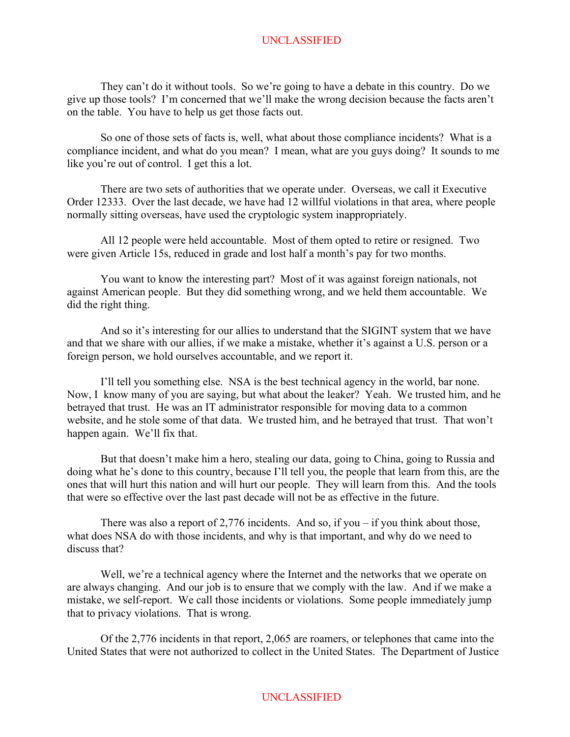They can't do it without tools. So we're going to have a debate in this country. Do we give up those tools? I'm concerned that we'll make the wrong decision because the facts aren't on the table. You have to help us get those facts out.

So one of those sets of facts is, well, what about those compliance incidents? What is a compliance incident, and what do you mean? I mean, what are you guys doing? It sounds to me like you're out of control. I get this a lot.

There are two sets of authorities that we operate under. Overseas, we call it Executive Order 12333. Over the last decade, we have had 12 willful violations in that area, where people normally sitting overseas, have used the cryptologic system inappropriately.

All 12 people were held accountable. Most of them opted to retire or resigned. Two were given Article 15s, reduced in grade and lost half a month's pay for two months.

You want to know the interesting part? Most of it was against foreign nationals, not against American people. But they did something wrong, and we held them accountable. We did the right thing.

And so it's interesting for our allies to understand that the SIGINT system that we have and that we share with our allies, if we make a mistake, whether it's against a U.S. person or a foreign person, we hold ourselves accountable, and we report it.

I'll tell you something else. NSA is the best technical agency in the world, bar none. Now, I know many of you are saying, but what about the leaker? Yeah. We trusted him, and he betrayed that trust. He was an IT administrator responsible for moving data to a common website, and he stole some of that data. We trusted him, and he betrayed that trust. That won't happen again. We'll fix that.

But that doesn't make him a hero, stealing our data, going to China, going to Russia and doing what he's done to this country, because I'll tell you, the people that learn from this, are the ones that will hurt this nation and will hurt our people. They will learn from this. And the tools that were so effective over the last past decade will not be as effective in the future.

There was also a report of 2,776 incidents. And so, if you – if you think about those, what does NSA do with those incidents, and why is that important, and why do we need to discuss that?

Well, we're a technical agency where the Internet and the networks that we operate on are always changing. And our job is to ensure that we comply with the law. And if we make a mistake, we self-report. We call those incidents or violations. Some people immediately jump that to privacy violations. That is wrong.

Of the 2,776 incidents in that report, 2,065 are roamers, or telephones that came into the United States that were not authorized to collect in the United States. The Department of Justice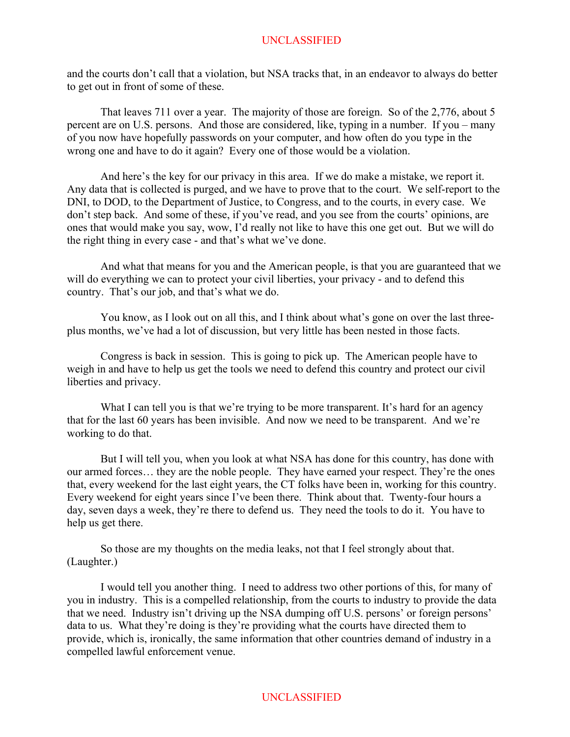and the courts don't call that a violation, but NSA tracks that, in an endeavor to always do better to get out in front of some of these.

That leaves 711 over a year. The majority of those are foreign. So of the 2,776, about 5 percent are on U.S. persons. And those are considered, like, typing in a number. If you – many of you now have hopefully passwords on your computer, and how often do you type in the wrong one and have to do it again? Every one of those would be a violation.

And here's the key for our privacy in this area. If we do make a mistake, we report it. Any data that is collected is purged, and we have to prove that to the court. We self-report to the DNI, to DOD, to the Department of Justice, to Congress, and to the courts, in every case. We don't step back. And some of these, if you've read, and you see from the courts' opinions, are ones that would make you say, wow, I'd really not like to have this one get out. But we will do the right thing in every case - and that's what we've done.

And what that means for you and the American people, is that you are guaranteed that we will do everything we can to protect your civil liberties, your privacy - and to defend this country. That's our job, and that's what we do.

You know, as I look out on all this, and I think about what's gone on over the last threeplus months, we've had a lot of discussion, but very little has been nested in those facts.

Congress is back in session. This is going to pick up. The American people have to weigh in and have to help us get the tools we need to defend this country and protect our civil liberties and privacy.

What I can tell you is that we're trying to be more transparent. It's hard for an agency that for the last 60 years has been invisible. And now we need to be transparent. And we're working to do that.

But I will tell you, when you look at what NSA has done for this country, has done with our armed forces… they are the noble people. They have earned your respect. They're the ones that, every weekend for the last eight years, the CT folks have been in, working for this country. Every weekend for eight years since I've been there. Think about that. Twenty-four hours a day, seven days a week, they're there to defend us. They need the tools to do it. You have to help us get there.

So those are my thoughts on the media leaks, not that I feel strongly about that. (Laughter.)

I would tell you another thing. I need to address two other portions of this, for many of you in industry. This is a compelled relationship, from the courts to industry to provide the data that we need. Industry isn't driving up the NSA dumping off U.S. persons' or foreign persons' data to us. What they're doing is they're providing what the courts have directed them to provide, which is, ironically, the same information that other countries demand of industry in a compelled lawful enforcement venue.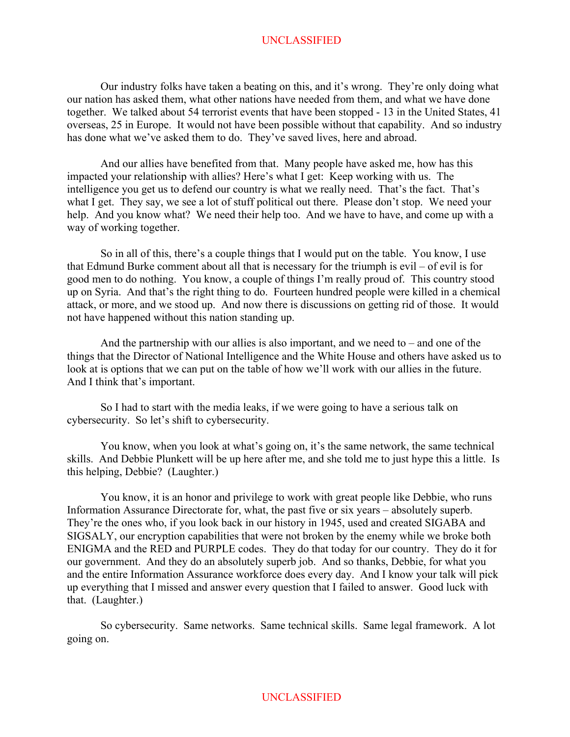Our industry folks have taken a beating on this, and it's wrong. They're only doing what our nation has asked them, what other nations have needed from them, and what we have done together. We talked about 54 terrorist events that have been stopped - 13 in the United States, 41 overseas, 25 in Europe. It would not have been possible without that capability. And so industry has done what we've asked them to do. They've saved lives, here and abroad.

And our allies have benefited from that. Many people have asked me, how has this impacted your relationship with allies? Here's what I get: Keep working with us. The intelligence you get us to defend our country is what we really need. That's the fact. That's what I get. They say, we see a lot of stuff political out there. Please don't stop. We need your help. And you know what? We need their help too. And we have to have, and come up with a way of working together.

So in all of this, there's a couple things that I would put on the table. You know, I use that Edmund Burke comment about all that is necessary for the triumph is evil – of evil is for good men to do nothing. You know, a couple of things I'm really proud of. This country stood up on Syria. And that's the right thing to do. Fourteen hundred people were killed in a chemical attack, or more, and we stood up. And now there is discussions on getting rid of those. It would not have happened without this nation standing up.

And the partnership with our allies is also important, and we need to  $-$  and one of the things that the Director of National Intelligence and the White House and others have asked us to look at is options that we can put on the table of how we'll work with our allies in the future. And I think that's important.

So I had to start with the media leaks, if we were going to have a serious talk on cybersecurity. So let's shift to cybersecurity.

You know, when you look at what's going on, it's the same network, the same technical skills. And Debbie Plunkett will be up here after me, and she told me to just hype this a little. Is this helping, Debbie? (Laughter.)

You know, it is an honor and privilege to work with great people like Debbie, who runs Information Assurance Directorate for, what, the past five or six years – absolutely superb. They're the ones who, if you look back in our history in 1945, used and created SIGABA and SIGSALY, our encryption capabilities that were not broken by the enemy while we broke both ENIGMA and the RED and PURPLE codes. They do that today for our country. They do it for our government. And they do an absolutely superb job. And so thanks, Debbie, for what you and the entire Information Assurance workforce does every day. And I know your talk will pick up everything that I missed and answer every question that I failed to answer. Good luck with that. (Laughter.)

So cybersecurity. Same networks. Same technical skills. Same legal framework. A lot going on.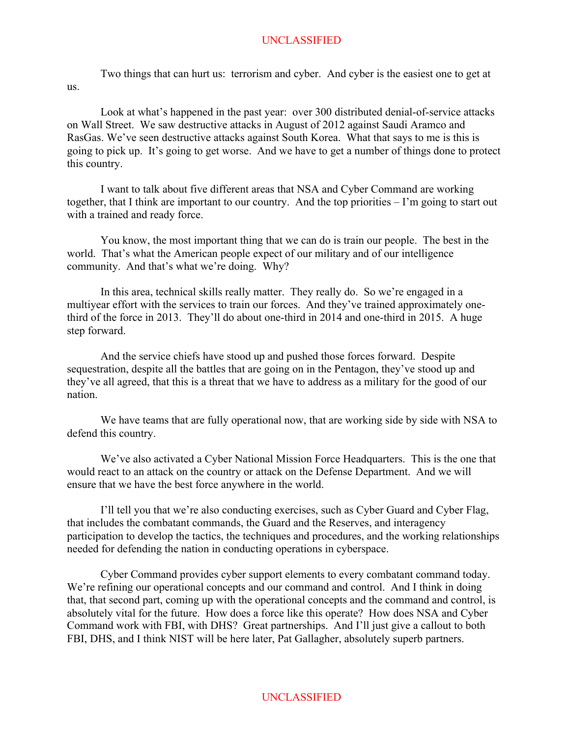Two things that can hurt us: terrorism and cyber. And cyber is the easiest one to get at us.

Look at what's happened in the past year: over 300 distributed denial-of-service attacks on Wall Street. We saw destructive attacks in August of 2012 against Saudi Aramco and RasGas. We've seen destructive attacks against South Korea. What that says to me is this is going to pick up. It's going to get worse. And we have to get a number of things done to protect this country.

I want to talk about five different areas that NSA and Cyber Command are working together, that I think are important to our country. And the top priorities – I'm going to start out with a trained and ready force.

You know, the most important thing that we can do is train our people. The best in the world. That's what the American people expect of our military and of our intelligence community. And that's what we're doing. Why?

In this area, technical skills really matter. They really do. So we're engaged in a multiyear effort with the services to train our forces. And they've trained approximately onethird of the force in 2013. They'll do about one-third in 2014 and one-third in 2015. A huge step forward.

And the service chiefs have stood up and pushed those forces forward. Despite sequestration, despite all the battles that are going on in the Pentagon, they've stood up and they've all agreed, that this is a threat that we have to address as a military for the good of our nation.

We have teams that are fully operational now, that are working side by side with NSA to defend this country.

We've also activated a Cyber National Mission Force Headquarters. This is the one that would react to an attack on the country or attack on the Defense Department. And we will ensure that we have the best force anywhere in the world.

I'll tell you that we're also conducting exercises, such as Cyber Guard and Cyber Flag, that includes the combatant commands, the Guard and the Reserves, and interagency participation to develop the tactics, the techniques and procedures, and the working relationships needed for defending the nation in conducting operations in cyberspace.

Cyber Command provides cyber support elements to every combatant command today. We're refining our operational concepts and our command and control. And I think in doing that, that second part, coming up with the operational concepts and the command and control, is absolutely vital for the future. How does a force like this operate? How does NSA and Cyber Command work with FBI, with DHS? Great partnerships. And I'll just give a callout to both FBI, DHS, and I think NIST will be here later, Pat Gallagher, absolutely superb partners.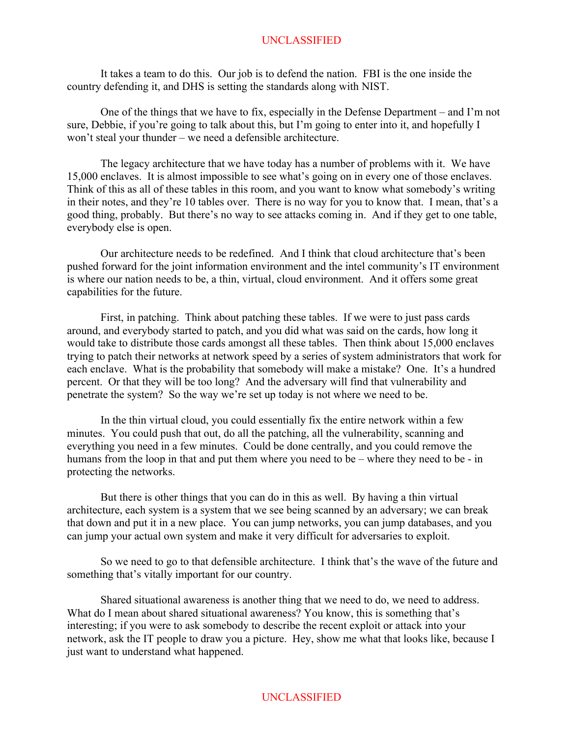It takes a team to do this. Our job is to defend the nation. FBI is the one inside the country defending it, and DHS is setting the standards along with NIST.

One of the things that we have to fix, especially in the Defense Department – and I'm not sure, Debbie, if you're going to talk about this, but I'm going to enter into it, and hopefully I won't steal your thunder – we need a defensible architecture.

The legacy architecture that we have today has a number of problems with it. We have 15,000 enclaves. It is almost impossible to see what's going on in every one of those enclaves. Think of this as all of these tables in this room, and you want to know what somebody's writing in their notes, and they're 10 tables over. There is no way for you to know that. I mean, that's a good thing, probably. But there's no way to see attacks coming in. And if they get to one table, everybody else is open.

Our architecture needs to be redefined. And I think that cloud architecture that's been pushed forward for the joint information environment and the intel community's IT environment is where our nation needs to be, a thin, virtual, cloud environment. And it offers some great capabilities for the future.

First, in patching. Think about patching these tables. If we were to just pass cards around, and everybody started to patch, and you did what was said on the cards, how long it would take to distribute those cards amongst all these tables. Then think about 15,000 enclaves trying to patch their networks at network speed by a series of system administrators that work for each enclave. What is the probability that somebody will make a mistake? One. It's a hundred percent. Or that they will be too long? And the adversary will find that vulnerability and penetrate the system? So the way we're set up today is not where we need to be.

In the thin virtual cloud, you could essentially fix the entire network within a few minutes. You could push that out, do all the patching, all the vulnerability, scanning and everything you need in a few minutes. Could be done centrally, and you could remove the humans from the loop in that and put them where you need to be – where they need to be - in protecting the networks.

But there is other things that you can do in this as well. By having a thin virtual architecture, each system is a system that we see being scanned by an adversary; we can break that down and put it in a new place. You can jump networks, you can jump databases, and you can jump your actual own system and make it very difficult for adversaries to exploit.

So we need to go to that defensible architecture. I think that's the wave of the future and something that's vitally important for our country.

Shared situational awareness is another thing that we need to do, we need to address. What do I mean about shared situational awareness? You know, this is something that's interesting; if you were to ask somebody to describe the recent exploit or attack into your network, ask the IT people to draw you a picture. Hey, show me what that looks like, because I just want to understand what happened.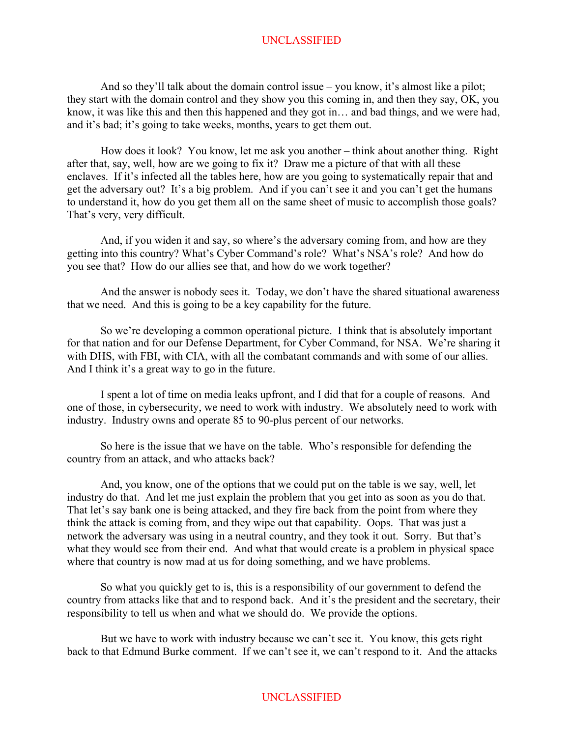And so they'll talk about the domain control issue – you know, it's almost like a pilot; they start with the domain control and they show you this coming in, and then they say, OK, you know, it was like this and then this happened and they got in… and bad things, and we were had, and it's bad; it's going to take weeks, months, years to get them out.

How does it look? You know, let me ask you another – think about another thing. Right after that, say, well, how are we going to fix it? Draw me a picture of that with all these enclaves. If it's infected all the tables here, how are you going to systematically repair that and get the adversary out? It's a big problem. And if you can't see it and you can't get the humans to understand it, how do you get them all on the same sheet of music to accomplish those goals? That's very, very difficult.

And, if you widen it and say, so where's the adversary coming from, and how are they getting into this country? What's Cyber Command's role? What's NSA's role? And how do you see that? How do our allies see that, and how do we work together?

And the answer is nobody sees it. Today, we don't have the shared situational awareness that we need. And this is going to be a key capability for the future.

So we're developing a common operational picture. I think that is absolutely important for that nation and for our Defense Department, for Cyber Command, for NSA. We're sharing it with DHS, with FBI, with CIA, with all the combatant commands and with some of our allies. And I think it's a great way to go in the future.

I spent a lot of time on media leaks upfront, and I did that for a couple of reasons. And one of those, in cybersecurity, we need to work with industry. We absolutely need to work with industry. Industry owns and operate 85 to 90-plus percent of our networks.

So here is the issue that we have on the table. Who's responsible for defending the country from an attack, and who attacks back?

And, you know, one of the options that we could put on the table is we say, well, let industry do that. And let me just explain the problem that you get into as soon as you do that. That let's say bank one is being attacked, and they fire back from the point from where they think the attack is coming from, and they wipe out that capability. Oops. That was just a network the adversary was using in a neutral country, and they took it out. Sorry. But that's what they would see from their end. And what that would create is a problem in physical space where that country is now mad at us for doing something, and we have problems.

So what you quickly get to is, this is a responsibility of our government to defend the country from attacks like that and to respond back. And it's the president and the secretary, their responsibility to tell us when and what we should do. We provide the options.

But we have to work with industry because we can't see it. You know, this gets right back to that Edmund Burke comment. If we can't see it, we can't respond to it. And the attacks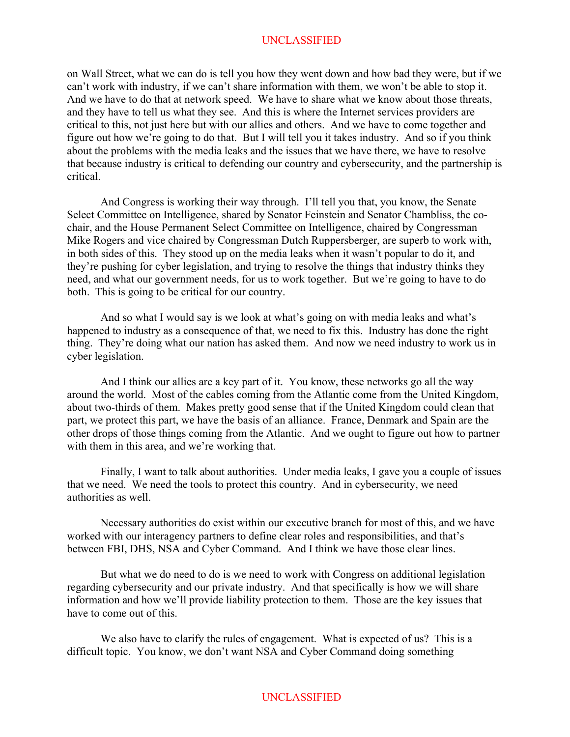on Wall Street, what we can do is tell you how they went down and how bad they were, but if we can't work with industry, if we can't share information with them, we won't be able to stop it. And we have to do that at network speed. We have to share what we know about those threats, and they have to tell us what they see. And this is where the Internet services providers are critical to this, not just here but with our allies and others. And we have to come together and figure out how we're going to do that. But I will tell you it takes industry. And so if you think about the problems with the media leaks and the issues that we have there, we have to resolve that because industry is critical to defending our country and cybersecurity, and the partnership is critical.

And Congress is working their way through. I'll tell you that, you know, the Senate Select Committee on Intelligence, shared by Senator Feinstein and Senator Chambliss, the cochair, and the House Permanent Select Committee on Intelligence, chaired by Congressman Mike Rogers and vice chaired by Congressman Dutch Ruppersberger, are superb to work with, in both sides of this. They stood up on the media leaks when it wasn't popular to do it, and they're pushing for cyber legislation, and trying to resolve the things that industry thinks they need, and what our government needs, for us to work together. But we're going to have to do both. This is going to be critical for our country.

And so what I would say is we look at what's going on with media leaks and what's happened to industry as a consequence of that, we need to fix this. Industry has done the right thing. They're doing what our nation has asked them. And now we need industry to work us in cyber legislation.

And I think our allies are a key part of it. You know, these networks go all the way around the world. Most of the cables coming from the Atlantic come from the United Kingdom, about two-thirds of them. Makes pretty good sense that if the United Kingdom could clean that part, we protect this part, we have the basis of an alliance. France, Denmark and Spain are the other drops of those things coming from the Atlantic. And we ought to figure out how to partner with them in this area, and we're working that.

Finally, I want to talk about authorities. Under media leaks, I gave you a couple of issues that we need. We need the tools to protect this country. And in cybersecurity, we need authorities as well.

Necessary authorities do exist within our executive branch for most of this, and we have worked with our interagency partners to define clear roles and responsibilities, and that's between FBI, DHS, NSA and Cyber Command. And I think we have those clear lines.

But what we do need to do is we need to work with Congress on additional legislation regarding cybersecurity and our private industry. And that specifically is how we will share information and how we'll provide liability protection to them. Those are the key issues that have to come out of this.

We also have to clarify the rules of engagement. What is expected of us? This is a difficult topic. You know, we don't want NSA and Cyber Command doing something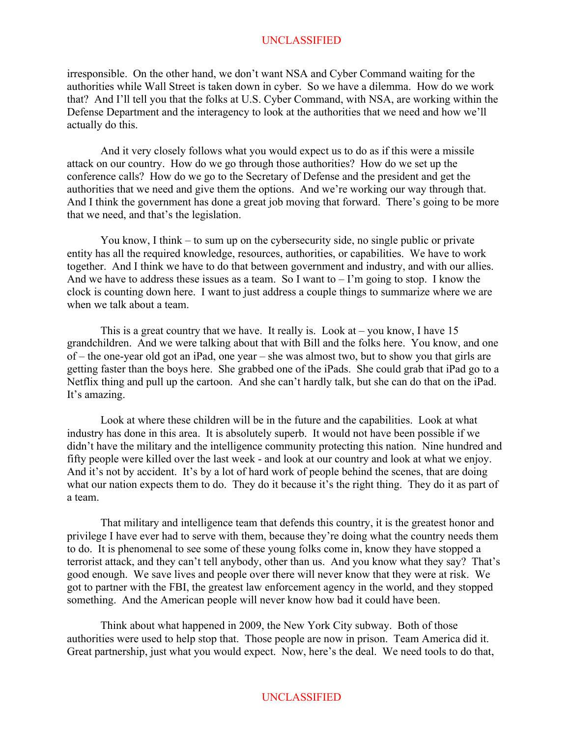irresponsible. On the other hand, we don't want NSA and Cyber Command waiting for the authorities while Wall Street is taken down in cyber. So we have a dilemma. How do we work that? And I'll tell you that the folks at U.S. Cyber Command, with NSA, are working within the Defense Department and the interagency to look at the authorities that we need and how we'll actually do this.

And it very closely follows what you would expect us to do as if this were a missile attack on our country. How do we go through those authorities? How do we set up the conference calls? How do we go to the Secretary of Defense and the president and get the authorities that we need and give them the options. And we're working our way through that. And I think the government has done a great job moving that forward. There's going to be more that we need, and that's the legislation.

You know, I think – to sum up on the cybersecurity side, no single public or private entity has all the required knowledge, resources, authorities, or capabilities. We have to work together. And I think we have to do that between government and industry, and with our allies. And we have to address these issues as a team. So I want to  $-1$ 'm going to stop. I know the clock is counting down here. I want to just address a couple things to summarize where we are when we talk about a team.

This is a great country that we have. It really is. Look at  $-$  you know, I have 15 grandchildren. And we were talking about that with Bill and the folks here. You know, and one of – the one-year old got an iPad, one year – she was almost two, but to show you that girls are getting faster than the boys here. She grabbed one of the iPads. She could grab that iPad go to a Netflix thing and pull up the cartoon. And she can't hardly talk, but she can do that on the iPad. It's amazing.

Look at where these children will be in the future and the capabilities. Look at what industry has done in this area. It is absolutely superb. It would not have been possible if we didn't have the military and the intelligence community protecting this nation. Nine hundred and fifty people were killed over the last week - and look at our country and look at what we enjoy. And it's not by accident. It's by a lot of hard work of people behind the scenes, that are doing what our nation expects them to do. They do it because it's the right thing. They do it as part of a team.

That military and intelligence team that defends this country, it is the greatest honor and privilege I have ever had to serve with them, because they're doing what the country needs them to do. It is phenomenal to see some of these young folks come in, know they have stopped a terrorist attack, and they can't tell anybody, other than us. And you know what they say? That's good enough. We save lives and people over there will never know that they were at risk. We got to partner with the FBI, the greatest law enforcement agency in the world, and they stopped something. And the American people will never know how bad it could have been.

Think about what happened in 2009, the New York City subway. Both of those authorities were used to help stop that. Those people are now in prison. Team America did it. Great partnership, just what you would expect. Now, here's the deal. We need tools to do that,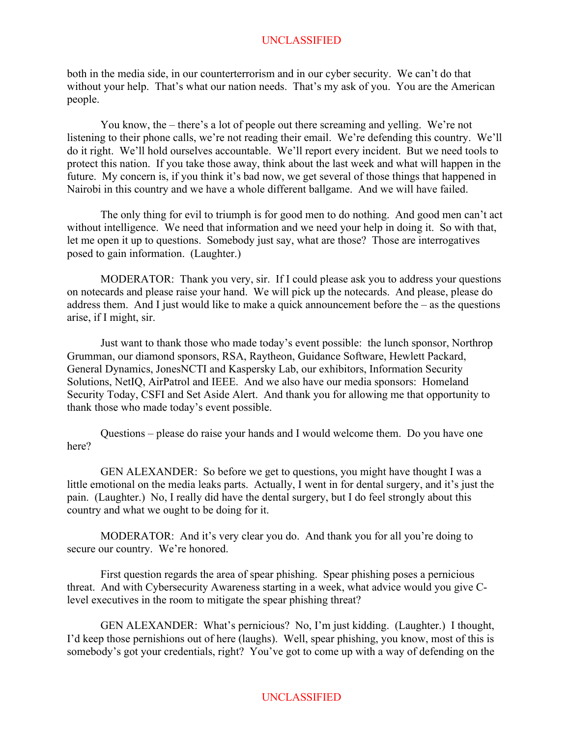both in the media side, in our counterterrorism and in our cyber security. We can't do that without your help. That's what our nation needs. That's my ask of you. You are the American people.

You know, the – there's a lot of people out there screaming and yelling. We're not listening to their phone calls, we're not reading their email. We're defending this country. We'll do it right. We'll hold ourselves accountable. We'll report every incident. But we need tools to protect this nation. If you take those away, think about the last week and what will happen in the future. My concern is, if you think it's bad now, we get several of those things that happened in Nairobi in this country and we have a whole different ballgame. And we will have failed.

The only thing for evil to triumph is for good men to do nothing. And good men can't act without intelligence. We need that information and we need your help in doing it. So with that, let me open it up to questions. Somebody just say, what are those? Those are interrogatives posed to gain information. (Laughter.)

MODERATOR: Thank you very, sir. If I could please ask you to address your questions on notecards and please raise your hand. We will pick up the notecards. And please, please do address them. And I just would like to make a quick announcement before the – as the questions arise, if I might, sir.

Just want to thank those who made today's event possible: the lunch sponsor, Northrop Grumman, our diamond sponsors, RSA, Raytheon, Guidance Software, Hewlett Packard, General Dynamics, JonesNCTI and Kaspersky Lab, our exhibitors, Information Security Solutions, NetIQ, AirPatrol and IEEE. And we also have our media sponsors: Homeland Security Today, CSFI and Set Aside Alert. And thank you for allowing me that opportunity to thank those who made today's event possible.

Questions – please do raise your hands and I would welcome them. Do you have one here?

GEN ALEXANDER: So before we get to questions, you might have thought I was a little emotional on the media leaks parts. Actually, I went in for dental surgery, and it's just the pain. (Laughter.) No, I really did have the dental surgery, but I do feel strongly about this country and what we ought to be doing for it.

MODERATOR: And it's very clear you do. And thank you for all you're doing to secure our country. We're honored.

First question regards the area of spear phishing. Spear phishing poses a pernicious threat. And with Cybersecurity Awareness starting in a week, what advice would you give Clevel executives in the room to mitigate the spear phishing threat?

GEN ALEXANDER: What's pernicious? No, I'm just kidding. (Laughter.) I thought, I'd keep those pernishions out of here (laughs). Well, spear phishing, you know, most of this is somebody's got your credentials, right? You've got to come up with a way of defending on the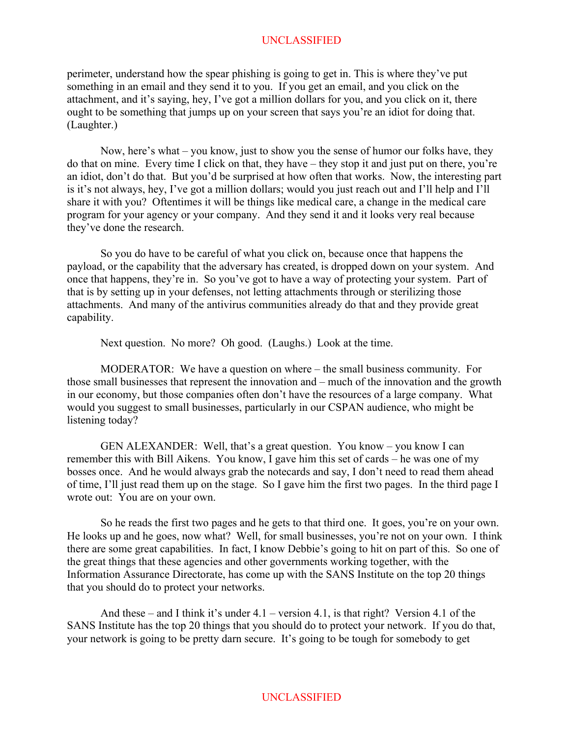perimeter, understand how the spear phishing is going to get in. This is where they've put something in an email and they send it to you. If you get an email, and you click on the attachment, and it's saying, hey, I've got a million dollars for you, and you click on it, there ought to be something that jumps up on your screen that says you're an idiot for doing that. (Laughter.)

Now, here's what – you know, just to show you the sense of humor our folks have, they do that on mine. Every time I click on that, they have – they stop it and just put on there, you're an idiot, don't do that. But you'd be surprised at how often that works. Now, the interesting part is it's not always, hey, I've got a million dollars; would you just reach out and I'll help and I'll share it with you? Oftentimes it will be things like medical care, a change in the medical care program for your agency or your company. And they send it and it looks very real because they've done the research.

So you do have to be careful of what you click on, because once that happens the payload, or the capability that the adversary has created, is dropped down on your system. And once that happens, they're in. So you've got to have a way of protecting your system. Part of that is by setting up in your defenses, not letting attachments through or sterilizing those attachments. And many of the antivirus communities already do that and they provide great capability.

Next question. No more? Oh good. (Laughs.) Look at the time.

MODERATOR: We have a question on where – the small business community. For those small businesses that represent the innovation and – much of the innovation and the growth in our economy, but those companies often don't have the resources of a large company. What would you suggest to small businesses, particularly in our CSPAN audience, who might be listening today?

GEN ALEXANDER: Well, that's a great question. You know – you know I can remember this with Bill Aikens. You know, I gave him this set of cards – he was one of my bosses once. And he would always grab the notecards and say, I don't need to read them ahead of time, I'll just read them up on the stage. So I gave him the first two pages. In the third page I wrote out: You are on your own.

So he reads the first two pages and he gets to that third one. It goes, you're on your own. He looks up and he goes, now what? Well, for small businesses, you're not on your own. I think there are some great capabilities. In fact, I know Debbie's going to hit on part of this. So one of the great things that these agencies and other governments working together, with the Information Assurance Directorate, has come up with the SANS Institute on the top 20 things that you should do to protect your networks.

And these – and I think it's under 4.1 – version 4.1, is that right? Version 4.1 of the SANS Institute has the top 20 things that you should do to protect your network. If you do that, your network is going to be pretty darn secure. It's going to be tough for somebody to get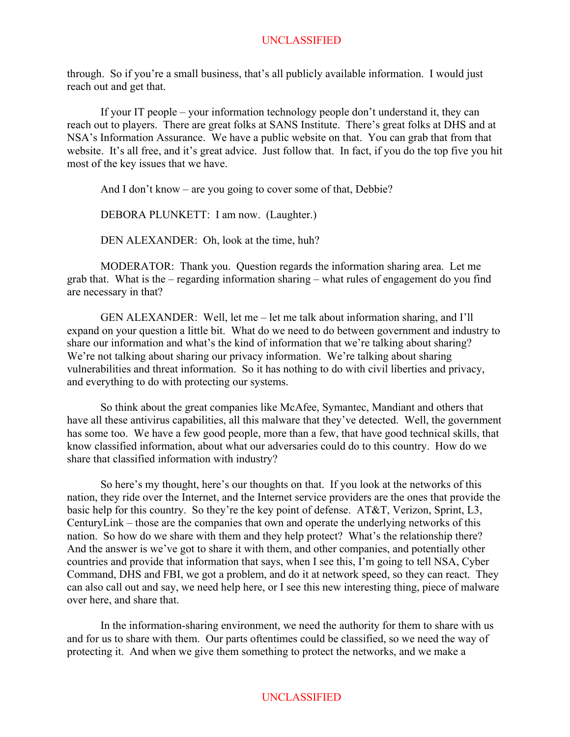through. So if you're a small business, that's all publicly available information. I would just reach out and get that.

If your IT people – your information technology people don't understand it, they can reach out to players. There are great folks at SANS Institute. There's great folks at DHS and at NSA's Information Assurance. We have a public website on that. You can grab that from that website. It's all free, and it's great advice. Just follow that. In fact, if you do the top five you hit most of the key issues that we have.

And I don't know – are you going to cover some of that, Debbie?

DEBORA PLUNKETT: I am now. (Laughter.)

DEN ALEXANDER: Oh, look at the time, huh?

MODERATOR: Thank you. Question regards the information sharing area. Let me grab that. What is the – regarding information sharing – what rules of engagement do you find are necessary in that?

GEN ALEXANDER: Well, let me – let me talk about information sharing, and I'll expand on your question a little bit. What do we need to do between government and industry to share our information and what's the kind of information that we're talking about sharing? We're not talking about sharing our privacy information. We're talking about sharing vulnerabilities and threat information. So it has nothing to do with civil liberties and privacy, and everything to do with protecting our systems.

So think about the great companies like McAfee, Symantec, Mandiant and others that have all these antivirus capabilities, all this malware that they've detected. Well, the government has some too. We have a few good people, more than a few, that have good technical skills, that know classified information, about what our adversaries could do to this country. How do we share that classified information with industry?

So here's my thought, here's our thoughts on that. If you look at the networks of this nation, they ride over the Internet, and the Internet service providers are the ones that provide the basic help for this country. So they're the key point of defense. AT&T, Verizon, Sprint, L3, CenturyLink – those are the companies that own and operate the underlying networks of this nation. So how do we share with them and they help protect? What's the relationship there? And the answer is we've got to share it with them, and other companies, and potentially other countries and provide that information that says, when I see this, I'm going to tell NSA, Cyber Command, DHS and FBI, we got a problem, and do it at network speed, so they can react. They can also call out and say, we need help here, or I see this new interesting thing, piece of malware over here, and share that.

In the information-sharing environment, we need the authority for them to share with us and for us to share with them. Our parts oftentimes could be classified, so we need the way of protecting it. And when we give them something to protect the networks, and we make a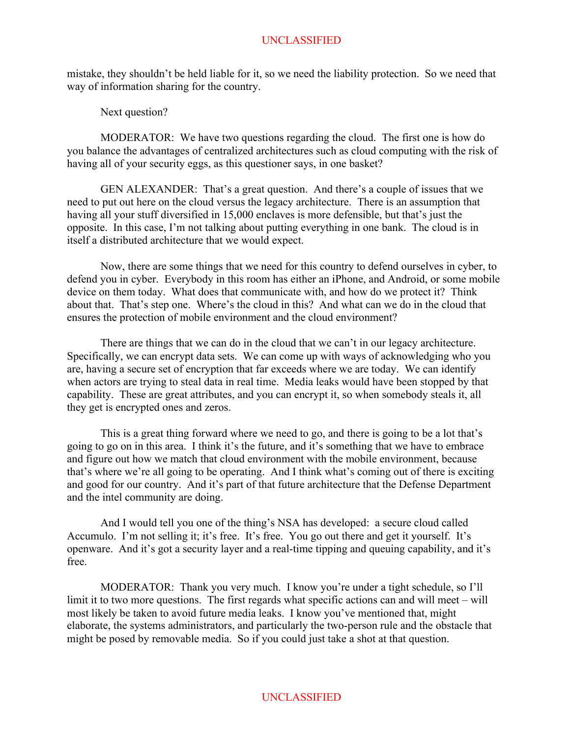mistake, they shouldn't be held liable for it, so we need the liability protection. So we need that way of information sharing for the country.

Next question?

MODERATOR: We have two questions regarding the cloud. The first one is how do you balance the advantages of centralized architectures such as cloud computing with the risk of having all of your security eggs, as this questioner says, in one basket?

GEN ALEXANDER: That's a great question. And there's a couple of issues that we need to put out here on the cloud versus the legacy architecture. There is an assumption that having all your stuff diversified in 15,000 enclaves is more defensible, but that's just the opposite. In this case, I'm not talking about putting everything in one bank. The cloud is in itself a distributed architecture that we would expect.

Now, there are some things that we need for this country to defend ourselves in cyber, to defend you in cyber. Everybody in this room has either an iPhone, and Android, or some mobile device on them today. What does that communicate with, and how do we protect it? Think about that. That's step one. Where's the cloud in this? And what can we do in the cloud that ensures the protection of mobile environment and the cloud environment?

There are things that we can do in the cloud that we can't in our legacy architecture. Specifically, we can encrypt data sets. We can come up with ways of acknowledging who you are, having a secure set of encryption that far exceeds where we are today. We can identify when actors are trying to steal data in real time. Media leaks would have been stopped by that capability. These are great attributes, and you can encrypt it, so when somebody steals it, all they get is encrypted ones and zeros.

This is a great thing forward where we need to go, and there is going to be a lot that's going to go on in this area. I think it's the future, and it's something that we have to embrace and figure out how we match that cloud environment with the mobile environment, because that's where we're all going to be operating. And I think what's coming out of there is exciting and good for our country. And it's part of that future architecture that the Defense Department and the intel community are doing.

And I would tell you one of the thing's NSA has developed: a secure cloud called Accumulo. I'm not selling it; it's free. It's free. You go out there and get it yourself. It's openware. And it's got a security layer and a real-time tipping and queuing capability, and it's free.

MODERATOR: Thank you very much. I know you're under a tight schedule, so I'll limit it to two more questions. The first regards what specific actions can and will meet – will most likely be taken to avoid future media leaks. I know you've mentioned that, might elaborate, the systems administrators, and particularly the two-person rule and the obstacle that might be posed by removable media. So if you could just take a shot at that question.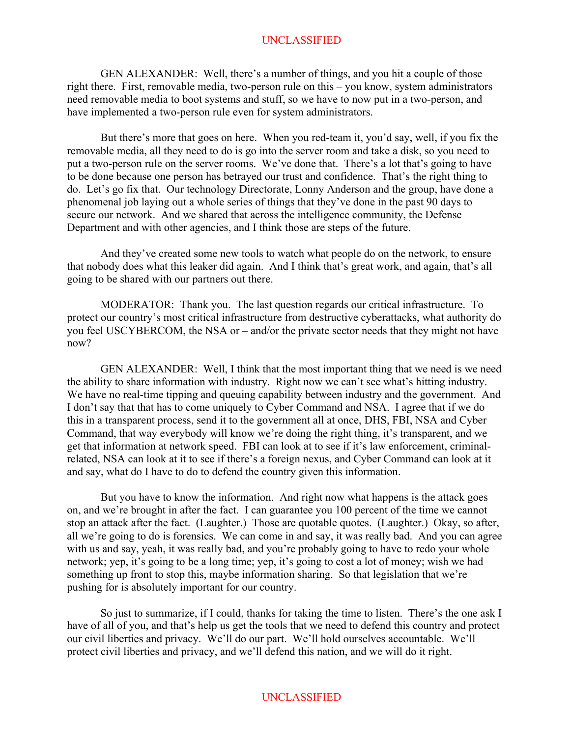GEN ALEXANDER: Well, there's a number of things, and you hit a couple of those right there. First, removable media, two-person rule on this – you know, system administrators need removable media to boot systems and stuff, so we have to now put in a two-person, and have implemented a two-person rule even for system administrators.

But there's more that goes on here. When you red-team it, you'd say, well, if you fix the removable media, all they need to do is go into the server room and take a disk, so you need to put a two-person rule on the server rooms. We've done that. There's a lot that's going to have to be done because one person has betrayed our trust and confidence. That's the right thing to do. Let's go fix that. Our technology Directorate, Lonny Anderson and the group, have done a phenomenal job laying out a whole series of things that they've done in the past 90 days to secure our network. And we shared that across the intelligence community, the Defense Department and with other agencies, and I think those are steps of the future.

And they've created some new tools to watch what people do on the network, to ensure that nobody does what this leaker did again. And I think that's great work, and again, that's all going to be shared with our partners out there.

MODERATOR: Thank you. The last question regards our critical infrastructure. To protect our country's most critical infrastructure from destructive cyberattacks, what authority do you feel USCYBERCOM, the NSA or – and/or the private sector needs that they might not have now?

GEN ALEXANDER: Well, I think that the most important thing that we need is we need the ability to share information with industry. Right now we can't see what's hitting industry. We have no real-time tipping and queuing capability between industry and the government. And I don't say that that has to come uniquely to Cyber Command and NSA. I agree that if we do this in a transparent process, send it to the government all at once, DHS, FBI, NSA and Cyber Command, that way everybody will know we're doing the right thing, it's transparent, and we get that information at network speed. FBI can look at to see if it's law enforcement, criminalrelated, NSA can look at it to see if there's a foreign nexus, and Cyber Command can look at it and say, what do I have to do to defend the country given this information.

But you have to know the information. And right now what happens is the attack goes on, and we're brought in after the fact. I can guarantee you 100 percent of the time we cannot stop an attack after the fact. (Laughter.) Those are quotable quotes. (Laughter.) Okay, so after, all we're going to do is forensics. We can come in and say, it was really bad. And you can agree with us and say, yeah, it was really bad, and you're probably going to have to redo your whole network; yep, it's going to be a long time; yep, it's going to cost a lot of money; wish we had something up front to stop this, maybe information sharing. So that legislation that we're pushing for is absolutely important for our country.

So just to summarize, if I could, thanks for taking the time to listen. There's the one ask I have of all of you, and that's help us get the tools that we need to defend this country and protect our civil liberties and privacy. We'll do our part. We'll hold ourselves accountable. We'll protect civil liberties and privacy, and we'll defend this nation, and we will do it right.